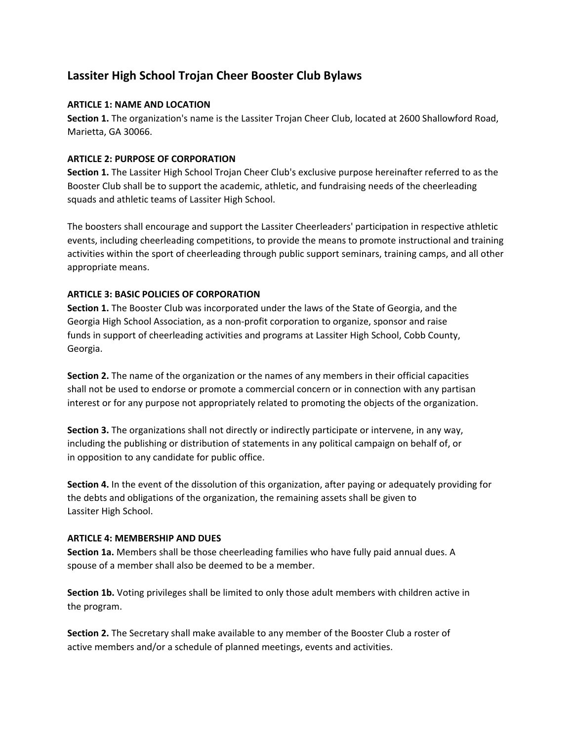# **Lassiter High School Trojan Cheer Booster Club Bylaws**

## **ARTICLE 1: NAME AND LOCATION**

**Section 1.** The organization's name is the Lassiter Trojan Cheer Club, located at 2600 Shallowford Road, Marietta, GA 30066.

## **ARTICLE 2: PURPOSE OF CORPORATION**

**Section 1.** The Lassiter High School Trojan Cheer Club's exclusive purpose hereinafter referred to as the Booster Club shall be to support the academic, athletic, and fundraising needs of the cheerleading squads and athletic teams of Lassiter High School.

The boosters shall encourage and support the Lassiter Cheerleaders' participation in respective athletic events, including cheerleading competitions, to provide the means to promote instructional and training activities within the sport of cheerleading through public support seminars, training camps, and all other appropriate means.

## **ARTICLE 3: BASIC POLICIES OF CORPORATION**

**Section 1.** The Booster Club was incorporated under the laws of the State of Georgia, and the Georgia High School Association, as a non‐profit corporation to organize, sponsor and raise funds in support of cheerleading activities and programs at Lassiter High School, Cobb County, Georgia.

**Section 2.** The name of the organization or the names of any members in their official capacities shall not be used to endorse or promote a commercial concern or in connection with any partisan interest or for any purpose not appropriately related to promoting the objects of the organization.

**Section 3.** The organizations shall not directly or indirectly participate or intervene, in any way, including the publishing or distribution of statements in any political campaign on behalf of, or in opposition to any candidate for public office.

**Section 4.** In the event of the dissolution of this organization, after paying or adequately providing for the debts and obligations of the organization, the remaining assets shall be given to Lassiter High School.

## **ARTICLE 4: MEMBERSHIP AND DUES**

**Section 1a.** Members shall be those cheerleading families who have fully paid annual dues. A spouse of a member shall also be deemed to be a member.

**Section 1b.** Voting privileges shall be limited to only those adult members with children active in the program.

**Section 2.** The Secretary shall make available to any member of the Booster Club a roster of active members and/or a schedule of planned meetings, events and activities.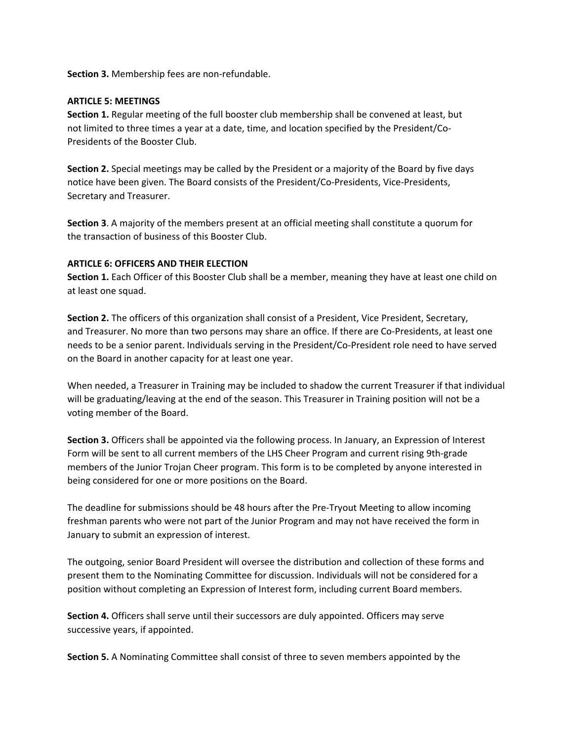**Section 3.** Membership fees are non‐refundable.

#### **ARTICLE 5: MEETINGS**

**Section 1.** Regular meeting of the full booster club membership shall be convened at least, but not limited to three times a year at a date, time, and location specified by the President/Co‐ Presidents of the Booster Club.

**Section 2.** Special meetings may be called by the President or a majority of the Board by five days notice have been given. The Board consists of the President/Co-Presidents, Vice-Presidents, Secretary and Treasurer.

**Section 3**. A majority of the members present at an official meeting shall constitute a quorum for the transaction of business of this Booster Club.

## **ARTICLE 6: OFFICERS AND THEIR ELECTION**

**Section 1.** Each Officer of this Booster Club shall be a member, meaning they have at least one child on at least one squad.

**Section 2.** The officers of this organization shall consist of a President, Vice President, Secretary, and Treasurer. No more than two persons may share an office. If there are Co‐Presidents, at least one needs to be a senior parent. Individuals serving in the President/Co‐President role need to have served on the Board in another capacity for at least one year.

When needed, a Treasurer in Training may be included to shadow the current Treasurer if that individual will be graduating/leaving at the end of the season. This Treasurer in Training position will not be a voting member of the Board.

**Section 3.** Officers shall be appointed via the following process. In January, an Expression of Interest Form will be sent to all current members of the LHS Cheer Program and current rising 9th‐grade members of the Junior Trojan Cheer program. This form is to be completed by anyone interested in being considered for one or more positions on the Board.

The deadline for submissions should be 48 hours after the Pre‐Tryout Meeting to allow incoming freshman parents who were not part of the Junior Program and may not have received the form in January to submit an expression of interest.

The outgoing, senior Board President will oversee the distribution and collection of these forms and present them to the Nominating Committee for discussion. Individuals will not be considered for a position without completing an Expression of Interest form, including current Board members.

**Section 4.** Officers shall serve until their successors are duly appointed. Officers may serve successive years, if appointed.

**Section 5.** A Nominating Committee shall consist of three to seven members appointed by the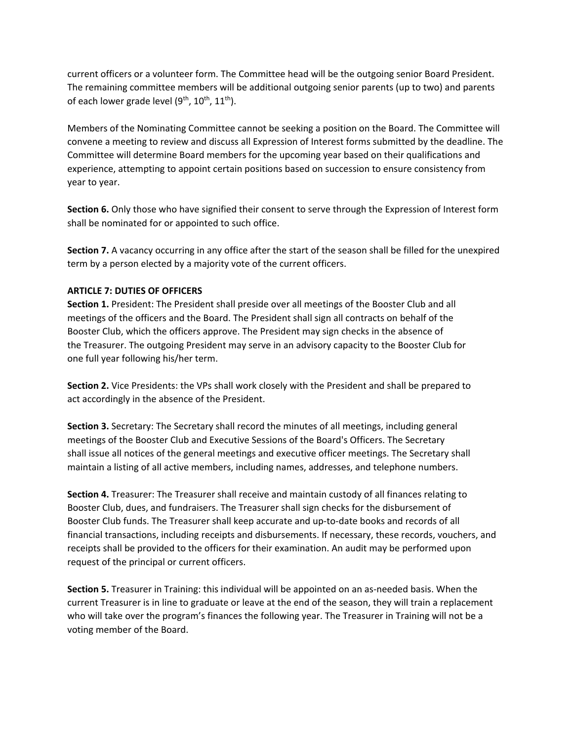current officers or a volunteer form. The Committee head will be the outgoing senior Board President. The remaining committee members will be additional outgoing senior parents (up to two) and parents of each lower grade level  $(9<sup>th</sup>, 10<sup>th</sup>, 11<sup>th</sup>).$ 

Members of the Nominating Committee cannot be seeking a position on the Board. The Committee will convene a meeting to review and discuss all Expression of Interest forms submitted by the deadline. The Committee will determine Board members for the upcoming year based on their qualifications and experience, attempting to appoint certain positions based on succession to ensure consistency from year to year.

**Section 6.** Only those who have signified their consent to serve through the Expression of Interest form shall be nominated for or appointed to such office.

**Section 7.** A vacancy occurring in any office after the start of the season shall be filled for the unexpired term by a person elected by a majority vote of the current officers.

## **ARTICLE 7: DUTIES OF OFFICERS**

**Section 1.** President: The President shall preside over all meetings of the Booster Club and all meetings of the officers and the Board. The President shall sign all contracts on behalf of the Booster Club, which the officers approve. The President may sign checks in the absence of the Treasurer. The outgoing President may serve in an advisory capacity to the Booster Club for one full year following his/her term.

**Section 2.** Vice Presidents: the VPs shall work closely with the President and shall be prepared to act accordingly in the absence of the President.

**Section 3.** Secretary: The Secretary shall record the minutes of all meetings, including general meetings of the Booster Club and Executive Sessions of the Board's Officers. The Secretary shall issue all notices of the general meetings and executive officer meetings. The Secretary shall maintain a listing of all active members, including names, addresses, and telephone numbers.

**Section 4.** Treasurer: The Treasurer shall receive and maintain custody of all finances relating to Booster Club, dues, and fundraisers. The Treasurer shall sign checks for the disbursement of Booster Club funds. The Treasurer shall keep accurate and up‐to‐date books and records of all financial transactions, including receipts and disbursements. If necessary, these records, vouchers, and receipts shall be provided to the officers for their examination. An audit may be performed upon request of the principal or current officers.

**Section 5.** Treasurer in Training: this individual will be appointed on an as‐needed basis. When the current Treasurer is in line to graduate or leave at the end of the season, they will train a replacement who will take over the program's finances the following year. The Treasurer in Training will not be a voting member of the Board.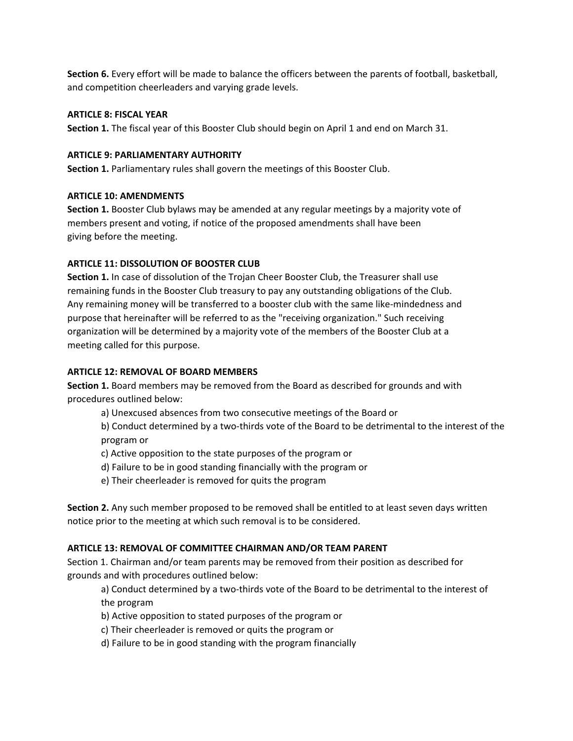**Section 6.** Every effort will be made to balance the officers between the parents of football, basketball, and competition cheerleaders and varying grade levels.

## **ARTICLE 8: FISCAL YEAR**

**Section 1.** The fiscal year of this Booster Club should begin on April 1 and end on March 31.

#### **ARTICLE 9: PARLIAMENTARY AUTHORITY**

**Section 1.** Parliamentary rules shall govern the meetings of this Booster Club.

#### **ARTICLE 10: AMENDMENTS**

**Section 1.** Booster Club bylaws may be amended at any regular meetings by a majority vote of members present and voting, if notice of the proposed amendments shall have been giving before the meeting.

## **ARTICLE 11: DISSOLUTION OF BOOSTER CLUB**

**Section 1.** In case of dissolution of the Trojan Cheer Booster Club, the Treasurer shall use remaining funds in the Booster Club treasury to pay any outstanding obligations of the Club. Any remaining money will be transferred to a booster club with the same like‐mindedness and purpose that hereinafter will be referred to as the "receiving organization." Such receiving organization will be determined by a majority vote of the members of the Booster Club at a meeting called for this purpose.

## **ARTICLE 12: REMOVAL OF BOARD MEMBERS**

**Section 1.** Board members may be removed from the Board as described for grounds and with procedures outlined below:

a) Unexcused absences from two consecutive meetings of the Board or

b) Conduct determined by a two-thirds vote of the Board to be detrimental to the interest of the program or

- c) Active opposition to the state purposes of the program or
- d) Failure to be in good standing financially with the program or
- e) Their cheerleader is removed for quits the program

**Section 2.** Any such member proposed to be removed shall be entitled to at least seven days written notice prior to the meeting at which such removal is to be considered.

## **ARTICLE 13: REMOVAL OF COMMITTEE CHAIRMAN AND/OR TEAM PARENT**

Section 1. Chairman and/or team parents may be removed from their position as described for grounds and with procedures outlined below:

a) Conduct determined by a two-thirds vote of the Board to be detrimental to the interest of the program

- b) Active opposition to stated purposes of the program or
- c) Their cheerleader is removed or quits the program or
- d) Failure to be in good standing with the program financially